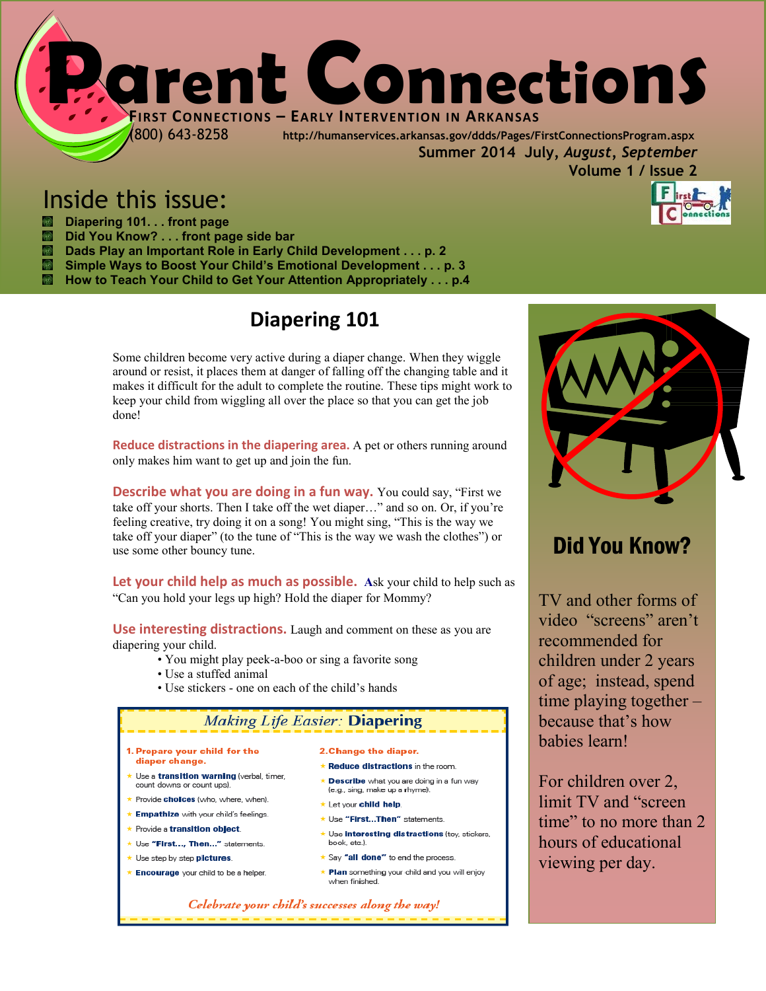

# Inside this issue:

**Diapering 101. . . front page Did You Know?** . . . front page side bar **The Contract Dads Play an Important Role in Early Child Development . . . p. 2 Simple Ways to Boost Your Child's Emotional Development . . . p. 3** 辩 **How to Teach Your Child to Get Your Attention Appropriately . . . p.4** 

## **Diapering 101**

Some children become very active during a diaper change. When they wiggle around or resist, it places them at danger of falling off the changing table and it makes it difficult for the adult to complete the routine. These tips might work to keep your child from wiggling all over the place so that you can get the job done!

**Reduce distractions in the diapering area.** A pet or others running around only makes him want to get up and join the fun.

**Describe what you are doing in a fun way.** You could say, "First we take off your shorts. Then I take off the wet diaper…" and so on. Or, if you're feeling creative, try doing it on a song! You might sing, "This is the way we take off your diaper" (to the tune of "This is the way we wash the clothes") or use some other bouncy tune.

**Let your child help as much as possible. A**sk your child to help such as "Can you hold your legs up high? Hold the diaper for Mommy?

**Use interesting distractions.** Laugh and comment on these as you are diapering your child.

- You might play peek-a-boo or sing a favorite song
- Use a stuffed animal
- Use stickers one on each of the child's hands

### Making Life Easier: Diapering

- 1. Prepare your child for the diaper change.
- Use a *transition warning* (verbal, timer, count downs or count ups).
- Provide choices (who, where, when).
- **\* Empathize** with your child's feelings.
- \* Provide a transition object. \* Use "First..., Then..." statements.
- ★ Use step by step pictures.
- Encourage your child to be a helper.

#### 2. Change the diaper.

- $\star$  Reduce distractions in the room.
- \* Describe what you are doing in a fun way (e.g., sing, make up a rhyme).
- $\star$  Let your child help
- \* Use "First...Then" statements.  $\star$  Use interesting distractions (toy, stickers, book, etc.).
- \* Sav "all done" to end the process
- $\star$  Plan something your child and you will enjoy when finished.

Celebrate your child's successes along the way!



## Did You Know?

TV and other forms of video "screens" aren't recommended for children under 2 years of age; instead, spend time playing together – because that's how babies learn!

For children over 2, limit TV and "screen time" to no more than 2 hours of educational viewing per day.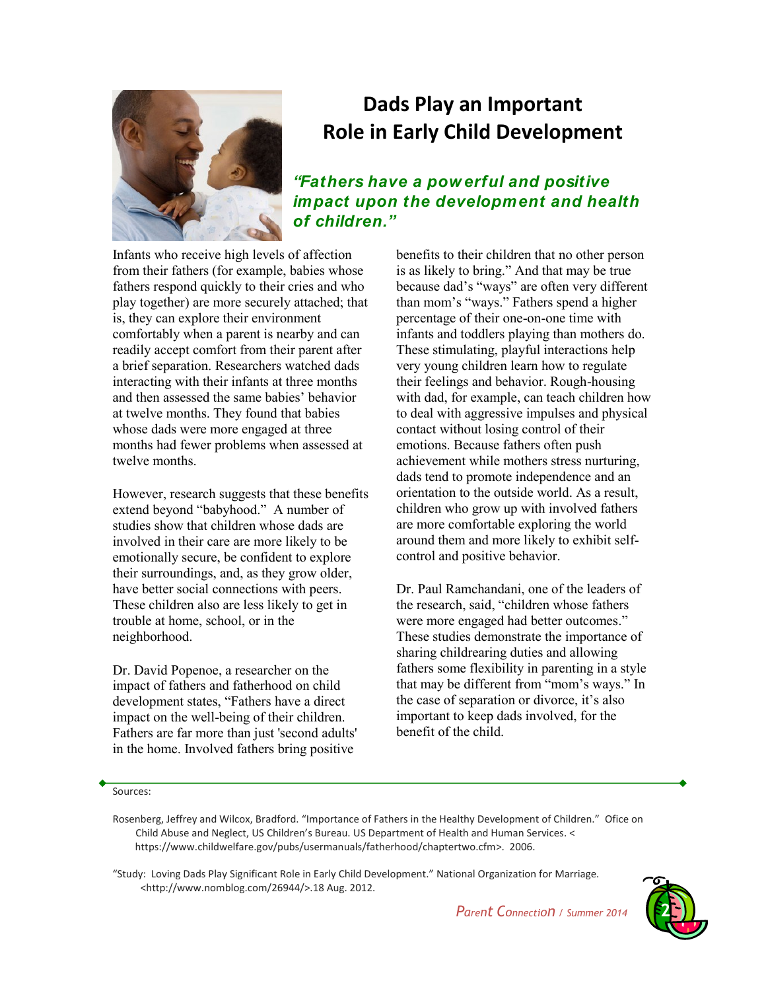

## **Dads Play an Important Role in Early Child Development**

*"Fathers have a pow erful and positive impact upon the development and health of children."*

Infants who receive high levels of affection from their fathers (for example, babies whose fathers respond quickly to their cries and who play together) are more securely attached; that is, they can explore their environment comfortably when a parent is nearby and can readily accept comfort from their parent after a brief separation. Researchers watched dads interacting with their infants at three months and then assessed the same babies' behavior at twelve months. They found that babies whose dads were more engaged at three months had fewer problems when assessed at twelve months.

However, research suggests that these benefits extend beyond "babyhood." A number of studies show that children whose dads are involved in their care are more likely to be emotionally secure, be confident to explore their surroundings, and, as they grow older, have better social connections with peers. These children also are less likely to get in trouble at home, school, or in the neighborhood.

Dr. David Popenoe, a researcher on the impact of fathers and fatherhood on child development states, "Fathers have a direct impact on the well-being of their children. Fathers are far more than just 'second adults' in the home. Involved fathers bring positive

benefits to their children that no other person is as likely to bring." And that may be true because dad's "ways" are often very different than mom's "ways." Fathers spend a higher percentage of their one-on-one time with infants and toddlers playing than mothers do. These stimulating, playful interactions help very young children learn how to regulate their feelings and behavior. Rough-housing with dad, for example, can teach children how to deal with aggressive impulses and physical contact without losing control of their emotions. Because fathers often push achievement while mothers stress nurturing, dads tend to promote independence and an orientation to the outside world. As a result, children who grow up with involved fathers are more comfortable exploring the world around them and more likely to exhibit selfcontrol and positive behavior.

Dr. Paul Ramchandani, one of the leaders of the research, said, "children whose fathers were more engaged had better outcomes." These studies demonstrate the importance of sharing childrearing duties and allowing fathers some flexibility in parenting in a style that may be different from "mom's ways." In the case of separation or divorce, it's also important to keep dads involved, for the benefit of the child.

Sources:

"Study: Loving Dads Play Significant Role in Early Child Development." National Organization for Marriage. <http://www.nomblog.com/26944/>.18 Aug. 2012.



Rosenberg, Jeffrey and Wilcox, Bradford. "Importance of Fathers in the Healthy Development of Children." Ofice on Child Abuse and Neglect, US Children's Bureau. US Department of Health and Human Services. < https://www.childwelfare.gov/pubs/usermanuals/fatherhood/chaptertwo.cfm>. 2006.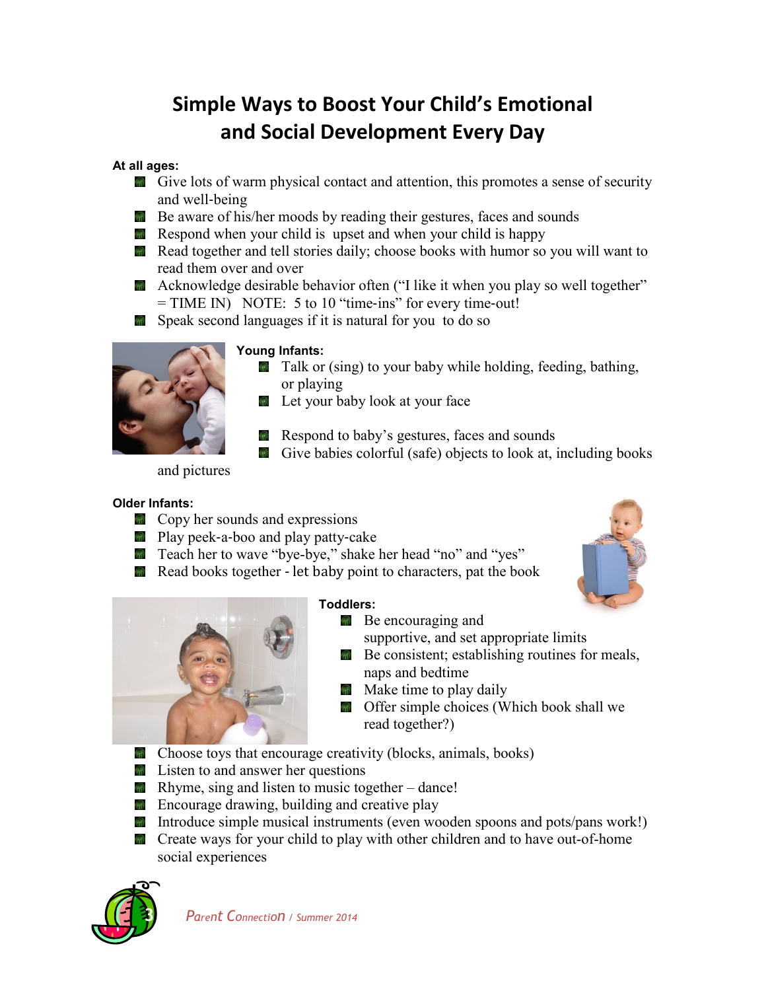# **Simple Ways to Boost Your Child's Emotional and Social Development Every Day**

### **At all ages:**

- **Give lots of warm physical contact and attention, this promotes a sense of security** and well‐being
- **Be** aware of his/her moods by reading their gestures, faces and sounds
- **Respond when your child is upset and when your child is happy**
- Read together and tell stories daily; choose books with humor so you will want to read them over and over
- **A** Acknowledge desirable behavior often ("I like it when you play so well together" = TIME IN) NOTE: 5 to 10 "time‐ins" for every time‐out!
- Speak second languages if it is natural for you to do so



### **Young Infants:**

- **Talk or (sing) to your baby while holding, feeding, bathing,** or playing
- **Let your baby look at your face**
- Respond to baby's gestures, faces and sounds
- Give babies colorful (safe) objects to look at, including books

and pictures

### **Older Infants:**

- **Copy her sounds and expressions**
- **Play peek-a-boo and play patty-cake**
- Teach her to wave "bye-bye," shake her head "no" and "yes"
- Read books together let baby point to characters, pat the book



#### **Toddlers:**

**Be encouraging and** 

supportive, and set appropriate limits

- **Be consistent; establishing routines for meals,** naps and bedtime
- **Make time to play daily**
- **Offer simple choices (Which book shall we** read together?)
- **Choose toys that encourage creativity (blocks, animals, books)**
- **Exercise 1** Listen to and answer her questions
- **Rhyme, sing and listen to music together** dance!
- **Encourage drawing, building and creative play**
- Introduce simple musical instruments (even wooden spoons and pots/pans work!)
- **n** Create ways for your child to play with other children and to have out-of-home social experiences